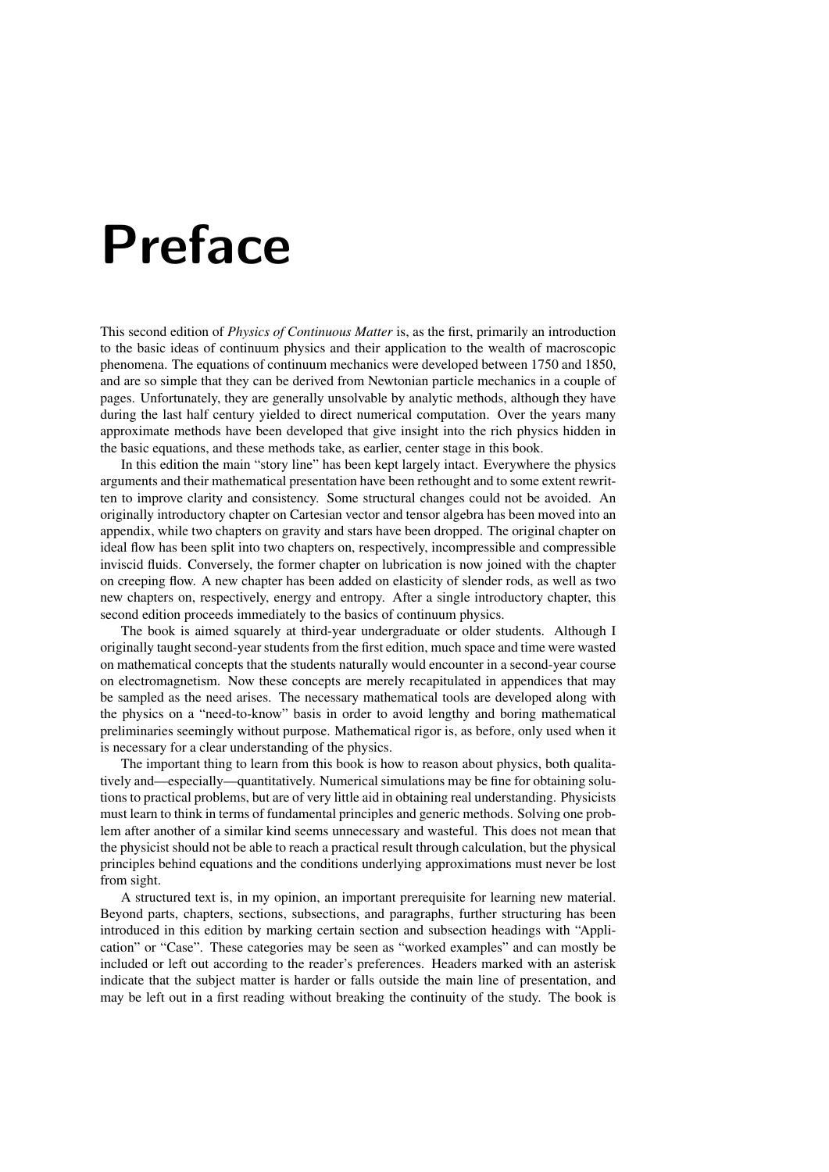## Preface

This second edition of *Physics of Continuous Matter* is, as the first, primarily an introduction to the basic ideas of continuum physics and their application to the wealth of macroscopic phenomena. The equations of continuum mechanics were developed between 1750 and 1850, and are so simple that they can be derived from Newtonian particle mechanics in a couple of pages. Unfortunately, they are generally unsolvable by analytic methods, although they have during the last half century yielded to direct numerical computation. Over the years many approximate methods have been developed that give insight into the rich physics hidden in the basic equations, and these methods take, as earlier, center stage in this book.

In this edition the main "story line" has been kept largely intact. Everywhere the physics arguments and their mathematical presentation have been rethought and to some extent rewritten to improve clarity and consistency. Some structural changes could not be avoided. An originally introductory chapter on Cartesian vector and tensor algebra has been moved into an appendix, while two chapters on gravity and stars have been dropped. The original chapter on ideal flow has been split into two chapters on, respectively, incompressible and compressible inviscid fluids. Conversely, the former chapter on lubrication is now joined with the chapter on creeping flow. A new chapter has been added on elasticity of slender rods, as well as two new chapters on, respectively, energy and entropy. After a single introductory chapter, this second edition proceeds immediately to the basics of continuum physics.

The book is aimed squarely at third-year undergraduate or older students. Although I originally taught second-year students from the first edition, much space and time were wasted on mathematical concepts that the students naturally would encounter in a second-year course on electromagnetism. Now these concepts are merely recapitulated in appendices that may be sampled as the need arises. The necessary mathematical tools are developed along with the physics on a "need-to-know" basis in order to avoid lengthy and boring mathematical preliminaries seemingly without purpose. Mathematical rigor is, as before, only used when it is necessary for a clear understanding of the physics.

The important thing to learn from this book is how to reason about physics, both qualitatively and—especially—quantitatively. Numerical simulations may be fine for obtaining solutions to practical problems, but are of very little aid in obtaining real understanding. Physicists must learn to think in terms of fundamental principles and generic methods. Solving one problem after another of a similar kind seems unnecessary and wasteful. This does not mean that the physicist should not be able to reach a practical result through calculation, but the physical principles behind equations and the conditions underlying approximations must never be lost from sight.

A structured text is, in my opinion, an important prerequisite for learning new material. Beyond parts, chapters, sections, subsections, and paragraphs, further structuring has been introduced in this edition by marking certain section and subsection headings with "Application" or "Case". These categories may be seen as "worked examples" and can mostly be included or left out according to the reader's preferences. Headers marked with an asterisk indicate that the subject matter is harder or falls outside the main line of presentation, and may be left out in a first reading without breaking the continuity of the study. The book is